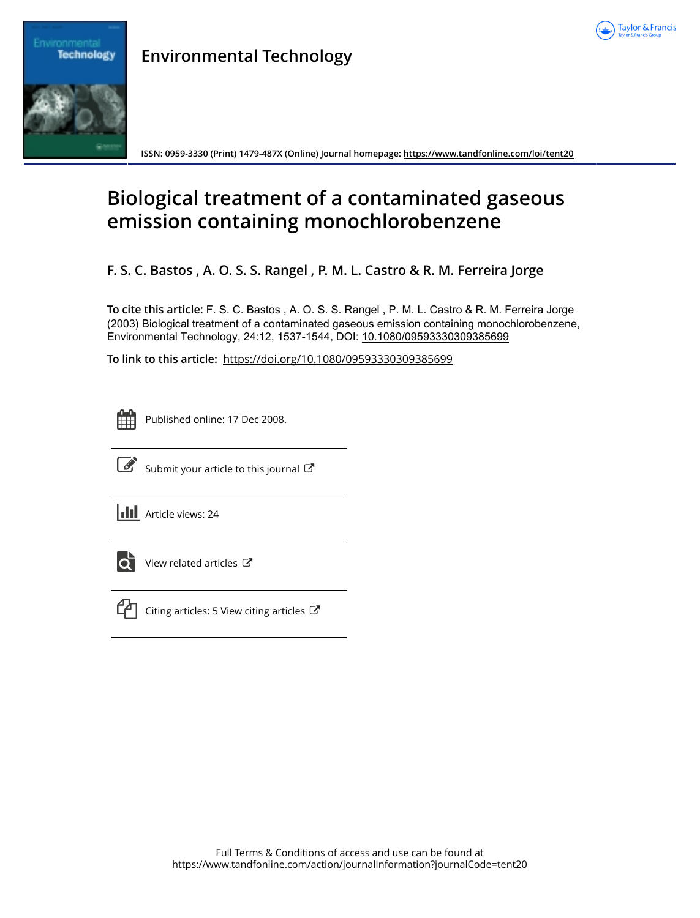



Environmer

**ISSN: 0959-3330 (Print) 1479-487X (Online) Journal homepage: <https://www.tandfonline.com/loi/tent20>**

# **Biological treatment of a contaminated gaseous emission containing monochlorobenzene**

**F. S. C. Bastos , A. O. S. S. Rangel , P. M. L. Castro & R. M. Ferreira Jorge**

**To cite this article:** F. S. C. Bastos , A. O. S. S. Rangel , P. M. L. Castro & R. M. Ferreira Jorge (2003) Biological treatment of a contaminated gaseous emission containing monochlorobenzene, Environmental Technology, 24:12, 1537-1544, DOI: [10.1080/09593330309385699](https://www.tandfonline.com/action/showCitFormats?doi=10.1080/09593330309385699)

**To link to this article:** <https://doi.org/10.1080/09593330309385699>

ËË

Published online: 17 Dec 2008.



 $\overrightarrow{S}$  [Submit your article to this journal](https://www.tandfonline.com/action/authorSubmission?journalCode=tent20&show=instructions)  $\overrightarrow{S}$ 

**III** Article views: 24



 $\overline{\mathbf{C}}$  [View related articles](https://www.tandfonline.com/doi/mlt/10.1080/09593330309385699)  $\mathbf{C}$ 



 $\mathbb{C}$  [Citing articles: 5 View citing articles](https://www.tandfonline.com/doi/citedby/10.1080/09593330309385699#tabModule)  $\mathbb{C}$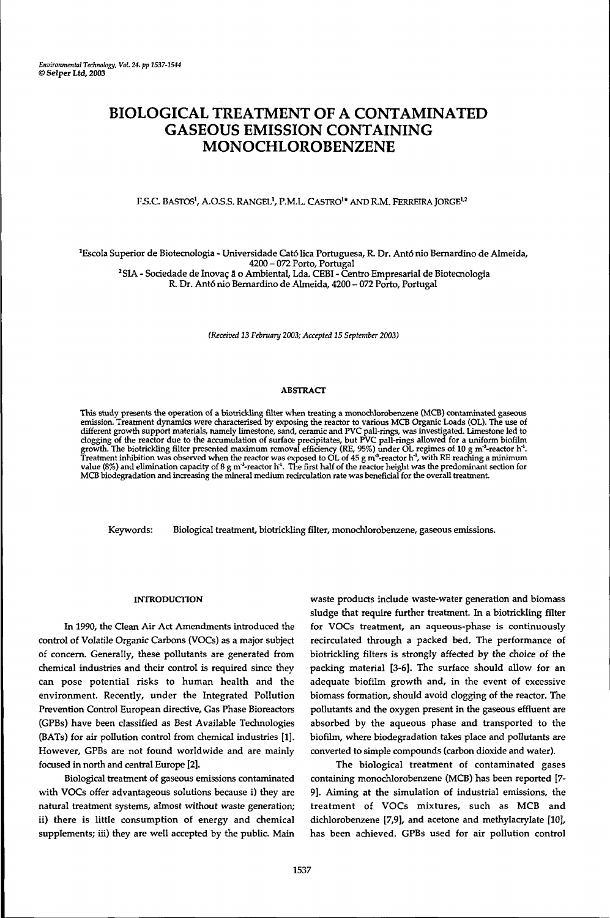# BIOLOGICAL TREATMENT OF A CONTAMINATED GASEOUS EMISSION CONTAINING MONOCHLOROBENZENE

F.S.C. BASTOS<sup>1</sup>, A.O.S.S. RANGEL<sup>1</sup>, P.M.L. CASTRO<sup>1</sup>\* AND R.M. FERREIRA JORGE<sup>1,2</sup>

<sup>1</sup>Escola Superior de Biotecnologia - Universidade Cató lica Portuguesa, R. Dr. Antó rúo Bernardino de Almeida, 4200 - 072 Porto, Portugal 2 SIA - Sociedade de Inovaç ã o Ambiental, Lda. CEBI - Centro Empresarial de Biotecnologia R. Dr. Antó nio Bernardino de Almeida, 4200 - 072 Porto, Portugal

*(Received* 23 *February 2003; Accepted 15 September 2003)*

#### ABSTRACT

This study presents the operation of a biotrickling filter when treating a monochlorobenzene (MCB) contaminated gaseous<br>emission. Treatment dynamics were characterised by exposing the reactor to various MCB Organic Loads MCB biodegradation and increasing the mineral medium recirculation rate was beneficial for the overall treatment.

Keywords: Biological treatment, biotrickling filter, monochlorobenzene, gaseous emissions.

#### INTRODUCTION

In 1990, the Clean Air Act Amendments introduced the control of Volatile Organic Carbons (VOCs) as a major subject of concern. Generally, these pollutants are generated from chemical industries and their control is required since they can pose potential risks to human health and the environment. Recently, under the Integrated Pollution Prevention Control European directive, Gas Phase Bioreactors (GPBs) have been classified as Best Available Technologies (BATs) for air pollution control from chemical industries [1]. However, GPBs are not found worldwide and are mainly focused in north and central Europe [2].

Biological treatment of gaseous emissions contaminated with VOCs offer advantageous solutions because i) they are natural treatment systems, almost without waste generation; ii) there is little consumption of energy and chemical supplements; iii) they are well accepted by the public. Main waste products include waste-water generation and biomass sludge that require further treatment. In a biotrickling filter for VOCs treatment, an aqueous-phase is continuously recirculated through a packed bed. The performance of biotrickling filters is strongly affected by the choice of the packing material [3-6]. The surface should allow for an adequate biofilm growth and, in the event of excessive biomass formation, should avoid clogging of the reactor. The pollutants and the oxygen present in the gaseous effluent are absorbed by the aqueous phase and transported to the biofilm, where biodegradation takes place and pollutants are converted to simple compounds (carbon dioxide and water).

The biological treatment of contaminated gases containing monochlorobenzene (MCB) has been reported *[7-* 9]. Aiming at the simulation of industrial emissions, the treatment of VOCs mixtures, such as MCB and dichlorobenzene [7,9], and acetone and methylacrylate [10], has been achieved. GPBs used for air pollution control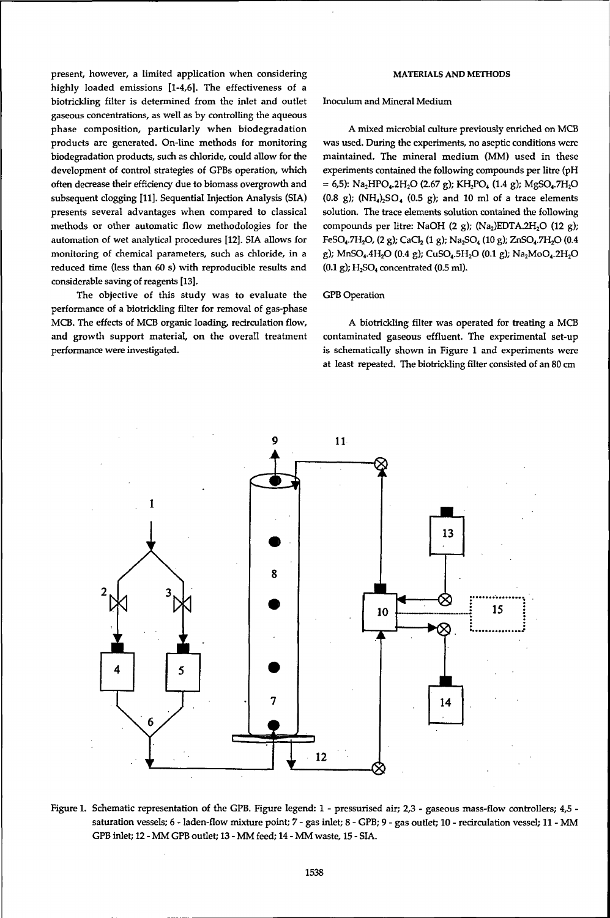present, however, a limited application when considering highly loaded emissions [1-4,6]. The effectiveness of a biotrickling filter is determined from the inlet and outlet gaseous concentrations, as well as by controlling the aqueous phase composition, particularly when biodegradation products are generated. On-line methods for monitoring biodegradation products, such as chloride, could allow for the development of control strategies of GPBs operation, which often decrease their efficiency due to biomass overgrowth and subsequent clogging [11]. Sequential Injection Analysis (SIA) presents several advantages when compared to classical methods or other automatic flow methodologies for the automation of wet analytical procedures [12]. SIA allows for monitoring of chemical parameters, such as chloride, in a reduced time (less than 60 s) with reproducible results and considerable saving of reagents [13].

The objective of this study was to evaluate the performance of a biotrickling filter for removal of gas-phase MCB. The effects of MCB organic loading, recirculation flow, and growth support material, on the overall treatment performance were investigated.

## **MATERIALS AND METHODS**

Inoculum and Mineral Medium

A mixed microbial culture previously enriched on MCB was used. During the experiments, no aseptic conditions were maintained. The mineral medium (MM) used in these experiments contained the following compounds per litre (pH  $= 6,5$ : Na<sub>2</sub>HPO<sub>4</sub>.2H<sub>2</sub>O (2.67 g); KH<sub>2</sub>PO<sub>4</sub> (1.4 g); MgSO<sub>4</sub>.7H<sub>2</sub>O (0.8 g); (NH<sub>4</sub>)<sub>2</sub>SO<sub>4</sub> (0.5 g); and 10 ml of a trace elements solution. The trace elements solution contained the following compounds per litre: NaOH (2 g); (Na<sub>2</sub>)EDTA.2H<sub>2</sub>O (12 g); FeSO<sub>4</sub>.7H<sub>2</sub>O, (2 g); CaCl<sub>2</sub> (1 g); Na<sub>2</sub>SO<sub>4</sub> (10 g); ZnSO<sub>4</sub>.7H<sub>2</sub>O (0.4 g); MnSO<sub>4</sub>.4H<sub>2</sub>O (0.4 g); CuSO<sub>4</sub>.5H<sub>2</sub>O (0.1 g); Na<sub>2</sub>MoO<sub>4</sub>.2H<sub>2</sub>O  $(0.1 \text{ g})$ ; H<sub>2</sub>SO<sub>4</sub> concentrated  $(0.5 \text{ ml})$ .

#### GPB Operation

A biotrickling filter was operated for treating a MCB contaminated gaseous effluent. The experimental set-up is schematically shown in Figure 1 and experiments were at least repeated. The biotrickling filter consisted of an 80 cm



Figure 1. Schematic representation of the GPB. Figure legend: 1 - pressurised air; 2,3 - gaseous mass-flow controllers; 4,5 saturation vessels; 6 - laden-flow mixture point; 7 - gas inlet; 8 - GPB; 9 - gas outlet; 10 - redrculation vessel; 11 - MM GPB inlet; 12 - MM GPB outlet; 13 - MM feed; 14 - MM waste, 15 - SIA.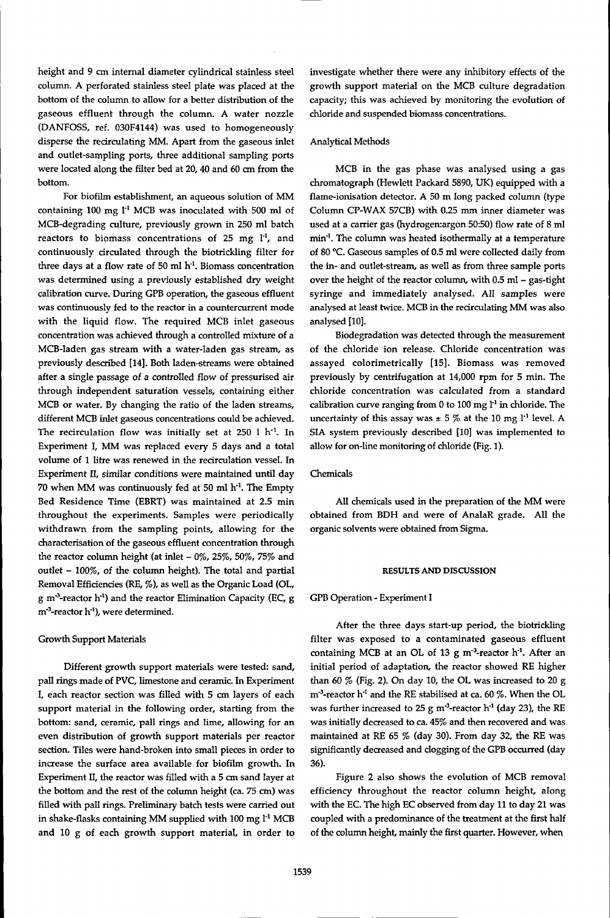height and 9 cm internal diameter cylindrical stainless steel column. A perforated stainless steel plate was placed at the bottom of the column to allow for a better distribution of the gaseous effluent through the column. A water nozzle (DANFOSS, ref. 030F4144) was used to homogeneously disperse the recirculating MM. Apart from the gaseous inlet and outlet-sampling ports, three additional sampling ports were located along the filter bed at 20, 40 and 60 cm from the bottom.

For biofilm establishment, an aqueous solution of MM containing 100 mg l<sup>-1</sup> MCB was inoculated with 500 ml of MCB-degrading culture, previously grown in 250 ml batch reactors to biomass concentrations of  $25$  mg  $1<sup>1</sup>$ , and continuously circulated through the biotrickling filter for three days at a flow rate of 50 ml  $h<sup>1</sup>$ . Biomass concentration was determined using a previously established dry weight calibration curve. During GPB operation, the gaseous effluent was continuously fed to the reactor in a countercurrent mode with the liquid flow. The required MCB inlet gaseous concentration was achieved through a controlled mixture of a MCB-laden gas stream with a water-laden gas stream, as previously described [14]. Both laden-streams were obtained after a single passage of a controlled flow of pressurised air through independent saturation vessels, containing either MCB or water. By changing the ratio of the laden streams, different MCB inlet gaseous concentrations could be achieved. The recirculation flow was initially set at 250 l h<sup>-1</sup>. In Experiment I, MM was replaced every 5 days and a total volume of 1 litre was renewed in the recirculation vessel. In Experiment II, similar conditions were maintained until day 70 when MM was continuously fed at 50 ml h<sup>-1</sup>. The Empty Bed Residence Time (EBRT) was maintained at 2.5 min throughout the experiments. Samples were periodically withdrawn from the sampling points, allowing for the characterisation of the gaseous effluent concentration through the reactor column height (at inlet  $-0\%$ , 25%, 50%, 75% and outlet - 100%, of the column height). The total and partial Removal Efficiencies (RE, %), as well as the Organic Load (OL, g m<sup>3</sup>-reactor h<sup>-1</sup>) and the reactor Elimination Capacity (EC, g m<sup>-3</sup>-reactor h<sup>-1</sup>), were determined.

# Growth Support Materials

Different growth support materials were tested: sand, pall rings made of PVC, limestone and ceramic. In Experiment I, each reactor section was filled with 5 cm layers of each support material in the following order, starting from the bottom: sand, ceramic, pall rings and lime, allowing for an even distribution of growth support materials per reactor section. Tiles were hand-broken into small pieces in order to increase the surface area available for biofilm growth. In Experiment II, the reactor was filled with a 5 cm sand layer at the bottom and the rest of the column height (ca. 75 cm) was filled with pall rings. Preliminary batch tests were carried out in shake-flasks containing MM supplied with 100 mg I'<sup>1</sup> MCB and 10 g of each growth support material, in order to investigate whether there were any inhibitory effects of the growth support material on the MCB culture degradation capacity; this was achieved by monitoring the evolution of chloride and suspended biomass concentrations.

#### Analytical Methods

MCB in the gas phase was analysed using a gas chromatograph (Hewlett Packard 5890, UK) equipped with a flame-ionisation detector. A 50 m long packed column (type Column CP-WAX 57CB) with 0.25 mm inner diameter was used at a carrier gas (hydrogen:argon 50:50) flow rate of 8 ml min'<sup>1</sup> . The column was heated isothermally at a temperature of 80 °C. Gaseous samples of 0.5 ml were collected daily from the in- and outlet-stream, as well as from three sample ports over the height of the reactor column, with 0.5 ml - gas-tight syringe and immediately analysed. All samples were analysed at least twice. MCB in the recirculating MM was also analysed [10].

Biodegradation was detected through the measurement of the chloride ion release. Chloride concentration was assayed colorimetrically [15]. Biomass was removed previously by centrifugation at 14,000 rpm for 5 min. The chloride concentration was calculated from a standard calibration curve ranging from 0 to 100 mg l<sup>-1</sup> in chloride. The uncertainty of this assay was  $\pm$  5 % at the 10 mg  $l<sup>-1</sup>$  level. A SIA system previously described [10] was implemented to allow for on-line monitoring of chloride (Fig. 1).

## Chemicals

All chemicals used in the preparation of the MM were obtained from BDH and were of AnalaR grade. All the organic solvents were obtained from Sigma.

#### **RESULTS AND DISCUSSION**

#### GPB Operation - Experiment I

After the three days start-up period, the biotrickling filter was exposed to a contaminated gaseous effluent containing MCB at an OL of 13 g m<sup>-3</sup>-reactor h<sup>-1</sup>. After an initial period of adaptation, the reactor showed RE higher than 60 % (Fig. 2). On day 10, the OL was increased to 20 g  $\text{m}^3\text{-}$ reactor  $\text{h}^{\text{-}1}$  and the RE stabilised at ca. 60 %. When the OL was further increased to 25 g m<sup>-3</sup>-reactor h<sup>-1</sup> (day 23), the RE was initially decreased to ca. 45% and then recovered and was maintained at RE 65 % (day 30). From day 32, the RE was significantly decreased and clogging of the GPB occurred (day 36).

Figure 2 also shows the evolution of MCB removal efficiency throughout the reactor column height, along with the EC. The high EC observed from day 11 to day 21 was coupled with a predominance of the treatment at the first half of the column height, mainly the first quarter. However, when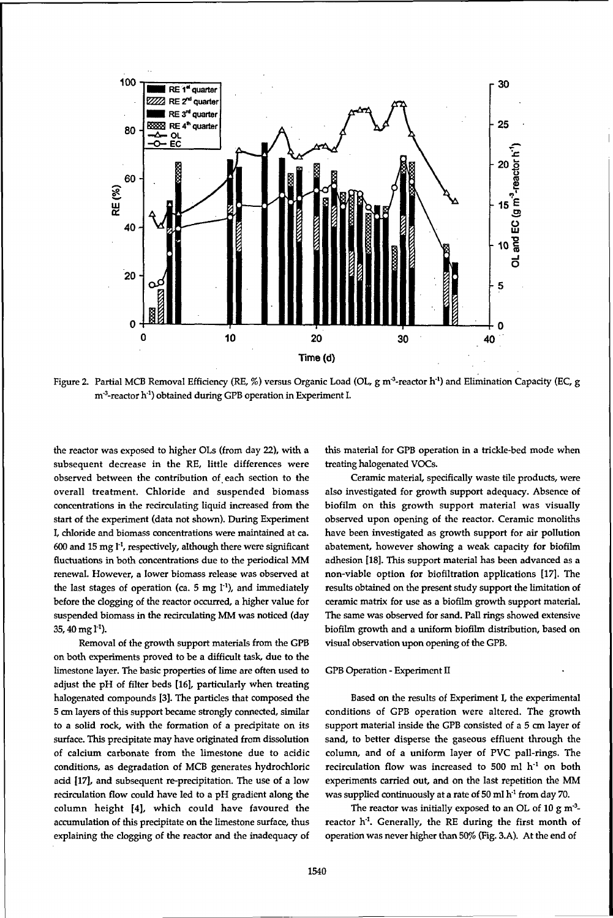

Figure 2. Partial MCB Removal Efficiency (RE, %) versus Organic Load (OL, g m<sup>3</sup>-reactor h<sup>1</sup>) and Elimination Capacity (EC, g m<sup>-3</sup>-reactor h<sup>-1</sup>) obtained during GPB operation in Experiment I.

the reactor was exposed to higher OLs (from day 22), with a subsequent decrease in the RE, little differences were observed between the contribution of each section to the overall treatment. Chloride and suspended biomass concentrations in the recirculating liquid increased from the start of the experiment (data not shown). During Experiment I, chloride and biomass concentrations were maintained at ca. 600 and 15 mg l<sup>-1</sup>, respectively, although there were significant fluctuations in both concentrations due to the periodical MM renewal. However, a lower biomass release was observed at the last stages of operation (ca. 5 mg l<sup>-1</sup>), and immediately before the clogging of the reactor occurred, a higher value for suspended biomass in the recirculating MM was noticed (day  $35, 40$  mg  $1<sup>-1</sup>$ ).

Removal of the growth support materials from the GPB on both experiments proved to be a difficult task, due to the limestone layer. The basic properties of lime are often used to adjust the pH of filter beds [16], particularly when treating halogenated compounds [3]. The particles that composed the 5 cm layers of this support became strongly connected, similar to a solid rock, with the formation of a precipitate on its surface. This precipitate may have originated from dissolution of calcium carbonate from the limestone due to acidic conditions, as degradation of MCB generates hydrochloric acid [17], and subsequent re-precipitation. The use of a low recirculation flow could have led to a pH gradient along the column height [4], which could have favoured the accumulation of this precipitate on the limestone surface, thus explaining the clogging of the reactor and the inadequacy of this material for GPB operation in a trickle-bed mode when treating halogenated VOCs.

Ceramic material, specifically waste tile products, were also investigated for growth support adequacy. Absence of biofilm on this growth support material was visually observed upon opening of the reactor. Ceramic monoliths have been investigated as growth support for air pollution abatement, however showing a weak capacity for biofilm adhesion [18]. This support material has been advanced as a non-viable option for biofiltration applications [17]. The results obtained on the present study support the limitation of ceramic matrix for use as a biofilm growth support material. The same was observed for sand. Pall rings showed extensive biofilm growth and a uniform biofilm distribution, based on visual observation upon opening of the GPB.

## GPB Operation - Experiment II

Based on the results of Experiment I, the experimental conditions of GPB operation were altered. The growth support material inside the GPB consisted of a 5 cm layer of sand, to better disperse the gaseous effluent through the column, and of a uniform layer of PVC pall-rings. The recirculation flow was increased to 500 ml h<sup>-1</sup> on both experiments carried out, and on the last repetition the MM was supplied continuously at a rate of 50 ml h<sup>-1</sup> from day 70.

The reactor was initially exposed to an OL of  $10 \text{ g m}^{-3}$ reactor h<sup>-1</sup>. Generally, the RE during the first month of operation was never higher than 50% (Fig. 3.A). At the end of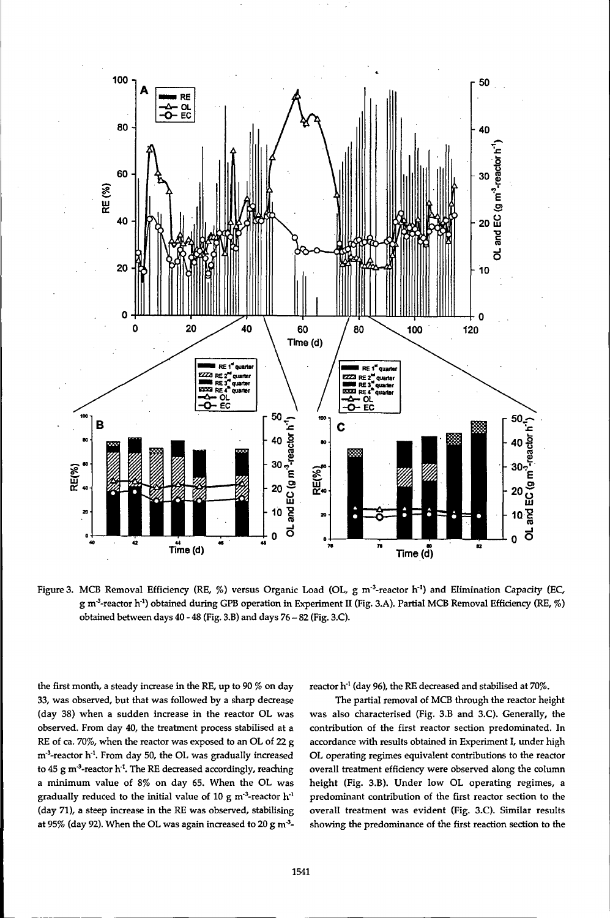

Figure 3. MCB Removal Efficiency (RE, %) versus Organic Load (OL, g m<sup>-3</sup>-reactor h<sup>-1</sup>) and Elimination Capacity (EC, g m<sup>3</sup>-reactor h<sup>-1</sup>) obtained during GPB operation in Experiment II (Fig. 3.A). Partial MCB Removal Efficiency (RE, %) obtained between days 40 - 48 (Fig. 3.B) and days 76 - 82 (Fig. 3.C).

the first month, a steady increase in the RE, up to 90 % on day 33, was observed, but that was followed by a sharp decrease (day 38) when a sudden increase in the reactor OL was observed. From day 40, the treatment process stabilised at a RE of ca. 70%, when the reactor was exposed to an OL of 22 g m<sup>-3</sup>-reactor h<sup>-1</sup>. From day 50, the OL was gradually increased to 45 g m<sup>-3</sup>-reactor h<sup>-1</sup>. The RE decreased accordingly, reaching a minimum value of 8% on day 65. When the OL was eradually reduced to the initial value of 10 g m<sup>-3</sup>-reactor h<sup>-1</sup> (day 71), a steep increase in the RE was observed, stabilising at 95% (day 92). When the OL was again increased to 20 g m<sup>3</sup>-

reactor  $\mathrm{h}^4$  (day 96), the RE decreased and stabilised at 70%.

The partial removal of MCB through the reactor height was also characterised (Fig. 3.B and 3.C). Generally, the contribution of the first reactor section predominated. In accordance with results obtained in Experiment I, under high OL operating regimes equivalent contributions to the reactor overall treatment efficiency were observed along the column height (Fig. 3.B). Under low OL operating regimes, a predominant contribution of the first reactor section to the overall treatment was evident (Fig. 3.C). Similar results showing the predominance of the first reaction section to the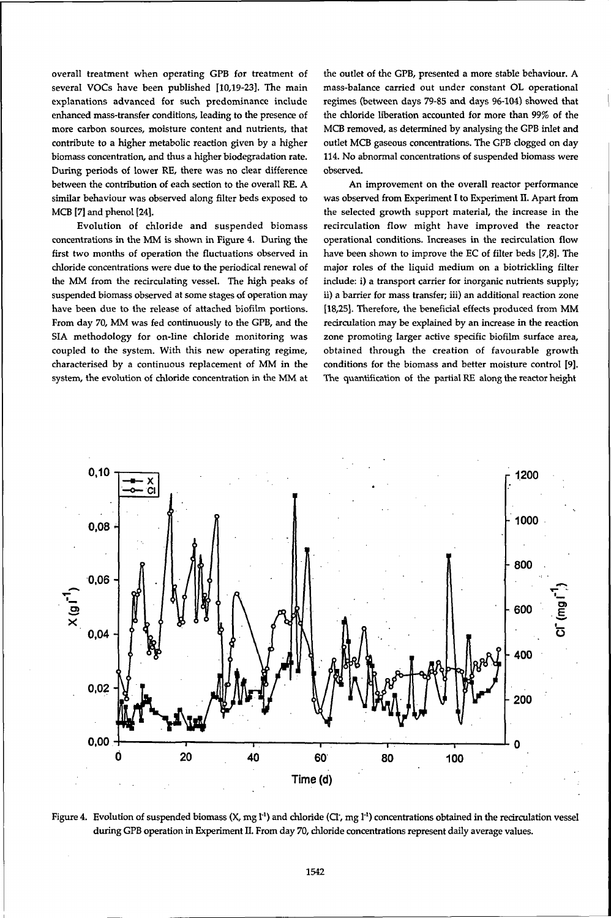overall treatment when operating GPB for treatment of several VOCs have been published [10,19-23]. The main explanations advanced for such predominance include enhanced mass-transfer conditions, leading to the presence of more carbon sources, moisture content and nutrients, that contribute to a higher metabolic reaction given by a higher biomass concentration, and thus a higher biodegradation rate. During periods of lower RE, there was no clear difference between the contribution of each section to the overall RE. A similar behaviour was observed along filter beds exposed to MCB [7] and phenol [24].

Evolution of chloride and suspended biomass concentrations in the MM is shown in Figure 4. During the first two months of operation the fluctuations observed in chloride concentrations were due to the periodical renewal of the MM from the recirculating vessel. The high peaks of suspended biomass observed at some stages of operation may have been due to the release of attached biofilm portions. From day 70, MM was fed continuously to the GPB, and the SIA methodology for on-line chloride monitoring was coupled to the system. With this new operating regime, characterised by a continuous replacement of MM in the system, the evolution of chloride concentration in the MM at the outlet of the GPB, presented a more stable behaviour. A mass-balance carried out under constant OL operational regimes (between days 79-85 and days 96-104) showed that the chloride liberation accounted for more than 99% of the MCB removed, as determined by analysing the GPB inlet and outlet MCB gaseous concentrations. The GPB clogged on day 114. No abnormal concentrations of suspended biomass were observed.

An improvement on the overall reactor performance was observed from Experiment I to Experiment Ü. Apart from the selected growth support material, the increase in the recirculation flow might have improved the reactor operational conditions. Increases in the recirculation flow have been shown to improve the EC of filter beds [7,8]. The major roles of the liquid medium on a biotrickling filter include: i) a transport carrier for inorganic nutrients supply; ii) a barrier for mass transfer; iii) an additional reaction zone [18,25]. Therefore, the beneficial effects produced from MM recirculation may be explained by an increase in the reaction zone promoting larger active specific biofilm surface area, obtained through the creation of favourable growth conditions for the biomass and better moisture control [9]. The quantification of the partial RE along the reactor height



Figure 4. Evolution of suspended biomass (X, mg I<sup>-1</sup>) and chloride (CI, mg I<sup>-1</sup>) concentrations obtained in the recirculation vessel during GPB operation in Experiment II. From day 70, chloride concentrations represent daily average values.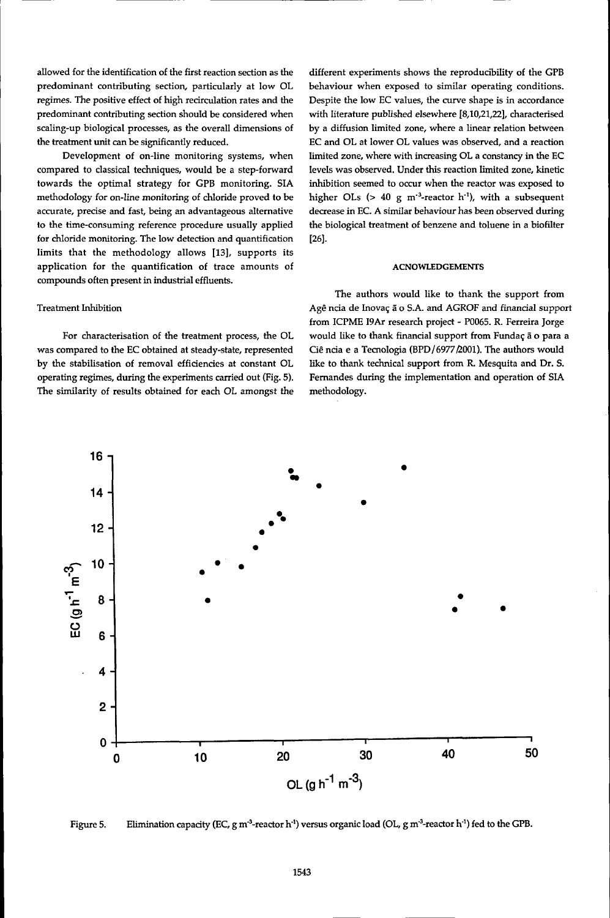allowed for the identification of the first reaction section as the predominant contributing section, particularly at low OL regimes. The positive effect of high recirculation rates and the predominant contributing section should be considered when scaling-up biological processes, as the overall dimensions of the treatment unit can be significantly reduced.

Development of on-line monitoring systems, when compared to classical techniques, would be a step-forward towards the optimal strategy for GPB monitoring. SIA methodology for on-line monitoring of chloride proved to be accurate, precise and fast, being an advantageous alternative to the time-consuming reference procedure usually applied for chloride monitoring. The low detection and quantification limits that the methodology allows [13], supports its application for the quantification of trace amounts of compounds often present in industrial effluents.

# Treatment Inhibition

For characterisation of the treatment process, the OL was compared to the EC obtained at steady-state, represented by the stabilisation of removal efficiencies at constant OL operating regimes, during the experiments carried out (Fig. 5). The similarity of results obtained for each OL amongst the different experiments shows the reproducibility of the GPB behaviour when exposed to similar operating conditions. Despite the low EC values, the curve shape is in accordance with literature published elsewhere [8,10,21,22], characterised by a diffusion limited zone, where a linear relation between EC and OL at lower OL values was observed, and a reaction limited zone, where with increasing OL a constancy in the EC levels was observed. Under this reaction limited zone, kinetic inhibition seemed to occur when the reactor was exposed to higher OLs  $(> 40 \text{ g m}^{-3}$ -reactor h<sup>-1</sup>), with a subsequent decrease in EC. A similar behaviour has been observed during the biological treatment of benzene and toluene in a biofilter [26].

#### **ACNOWLEDGEMENTS**

The authors would like to thank the support from Agê ncia de Inovaç ã o S.A. and AGROF and financial support from ICPME 19Ar research project - P0065. R. Ferreira Jorge would like to thank financial support from Fundac ä o para a Cié ncia e a Tecnología (BPD/6977£001). The authors would like to thank technical support from R. Mesquita and Dr. S. Fernandes during the implementation and operation of SIA methodology.



Figure 5.  $\rm Elimination$  capacity (EC, g m $\rm ^3$ -reactor h $\rm ^1)$  versus organic load (OL, g m $\rm ^3$ -reactor h $\rm ^1)$  fed to the GPB.